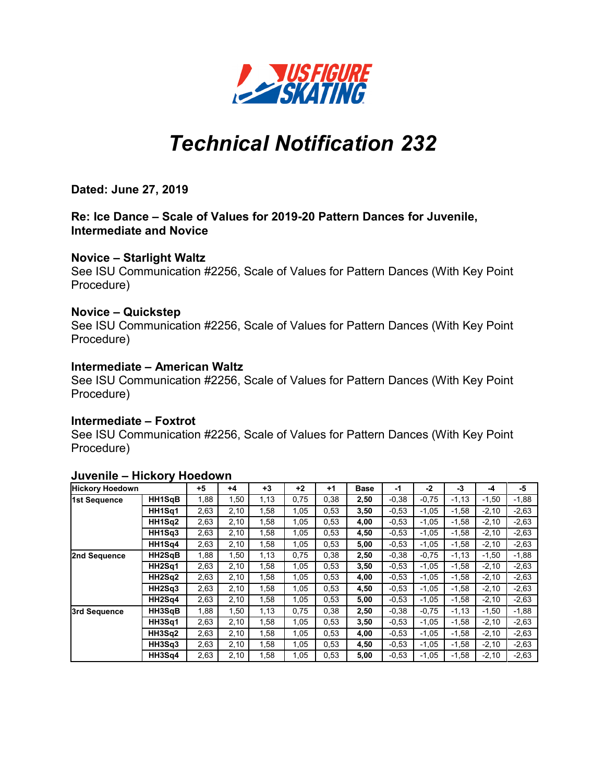

# *Technical Notification 232*

**Dated: June 27, 2019**

**Re: Ice Dance – Scale of Values for 2019-20 Pattern Dances for Juvenile, Intermediate and Novice**

#### **Novice – Starlight Waltz**

See ISU Communication #2256, Scale of Values for Pattern Dances (With Key Point Procedure)

## **Novice – Quickstep**

See ISU Communication #2256, Scale of Values for Pattern Dances (With Key Point Procedure)

## **Intermediate – American Waltz**

See ISU Communication #2256, Scale of Values for Pattern Dances (With Key Point Procedure)

#### **Intermediate – Foxtrot**

See ISU Communication #2256, Scale of Values for Pattern Dances (With Key Point Procedure)

| <b>Hickory Hoedown</b> |        | +5   | $+4$ | $+3$ | $+2$ | $+1$ | <b>Base</b> | -1      | -2      | -3      | -4      | -5      |
|------------------------|--------|------|------|------|------|------|-------------|---------|---------|---------|---------|---------|
| 1st Sequence           | HH1SgB | 1,88 | 1,50 | 1,13 | 0,75 | 0,38 | 2,50        | $-0.38$ | $-0,75$ | $-1,13$ | $-1,50$ | $-1,88$ |
|                        | HH1Sq1 | 2,63 | 2,10 | 1,58 | 1,05 | 0,53 | 3,50        | $-0.53$ | $-1,05$ | $-1,58$ | $-2,10$ | $-2,63$ |
|                        | HH1Sq2 | 2,63 | 2,10 | 1,58 | 1,05 | 0,53 | 4,00        | $-0.53$ | $-1,05$ | $-1,58$ | $-2,10$ | $-2,63$ |
|                        | HH1Sq3 | 2,63 | 2,10 | 1,58 | 1,05 | 0.53 | 4,50        | $-0.53$ | $-1,05$ | $-1,58$ | $-2,10$ | $-2,63$ |
|                        | HH1Sa4 | 2,63 | 2,10 | 1,58 | 1,05 | 0,53 | 5,00        | $-0.53$ | $-1,05$ | $-1,58$ | $-2,10$ | $-2,63$ |
| 2nd Sequence           | HH2SqB | 1,88 | 1,50 | 1,13 | 0,75 | 0,38 | 2,50        | $-0.38$ | $-0,75$ | $-1,13$ | $-1,50$ | $-1,88$ |
|                        | HH2Sq1 | 2,63 | 2,10 | 1,58 | 1,05 | 0.53 | 3,50        | $-0.53$ | $-1,05$ | $-1,58$ | $-2,10$ | $-2,63$ |
|                        | HH2Sq2 | 2,63 | 2,10 | 1,58 | 1,05 | 0.53 | 4,00        | $-0.53$ | $-1,05$ | $-1,58$ | $-2,10$ | $-2,63$ |
|                        | HH2Sq3 | 2,63 | 2,10 | 1,58 | 1,05 | 0.53 | 4,50        | $-0.53$ | $-1,05$ | $-1,58$ | $-2,10$ | $-2,63$ |
|                        | HH2Sq4 | 2,63 | 2,10 | 1,58 | 1,05 | 0.53 | 5,00        | $-0.53$ | $-1,05$ | $-1,58$ | $-2,10$ | $-2,63$ |
| 3rd Sequence           | HH3SgB | 1,88 | 1,50 | 1,13 | 0,75 | 0,38 | 2,50        | $-0.38$ | $-0,75$ | $-1,13$ | $-1,50$ | $-1,88$ |
|                        | HH3Sq1 | 2,63 | 2,10 | 1,58 | 1,05 | 0.53 | 3,50        | $-0.53$ | $-1,05$ | $-1,58$ | $-2,10$ | $-2,63$ |
|                        | HH3Sq2 | 2,63 | 2,10 | 1,58 | 1,05 | 0.53 | 4,00        | $-0.53$ | $-1,05$ | $-1,58$ | $-2,10$ | $-2,63$ |
|                        | HH3Sq3 | 2,63 | 2,10 | 1,58 | 1,05 | 0.53 | 4,50        | $-0.53$ | $-1,05$ | $-1,58$ | $-2,10$ | $-2,63$ |
|                        | HH3Sq4 | 2,63 | 2,10 | 1,58 | 1,05 | 0,53 | 5,00        | $-0.53$ | $-1,05$ | $-1,58$ | $-2,10$ | $-2,63$ |

### **Juvenile – Hickory Hoedown**